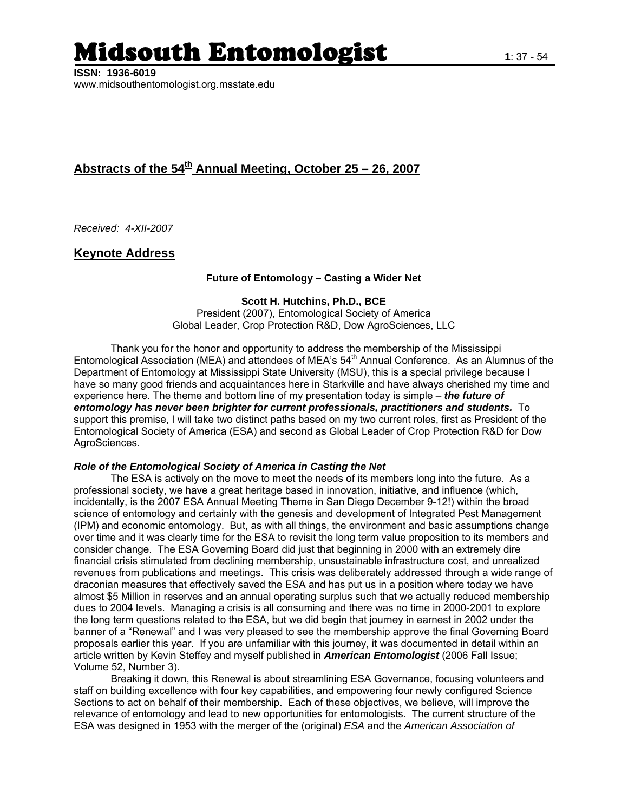# l**idsouth Entomologist** 1:37-54

**ISSN: 1936-6019**  www.midsouthentomologist.org.msstate.edu

## Abstracts of the 54<sup>th</sup> Annual Meeting, October 25 – 26, 2007

*Received: 4-XII-2007* 

## **Keynote Address**

#### **Future of Entomology – Casting a Wider Net**

**Scott H. Hutchins, Ph.D., BCE**  President (2007), Entomological Society of America Global Leader, Crop Protection R&D, Dow AgroSciences, LLC

Thank you for the honor and opportunity to address the membership of the Mississippi Entomological Association (MEA) and attendees of MEA's 54<sup>th</sup> Annual Conference. As an Alumnus of the Department of Entomology at Mississippi State University (MSU), this is a special privilege because I have so many good friends and acquaintances here in Starkville and have always cherished my time and experience here. The theme and bottom line of my presentation today is simple – *the future of entomology has never been brighter for current professionals, practitioners and students.* To support this premise, I will take two distinct paths based on my two current roles, first as President of the Entomological Society of America (ESA) and second as Global Leader of Crop Protection R&D for Dow AgroSciences.

#### *Role of the Entomological Society of America in Casting the Net*

The ESA is actively on the move to meet the needs of its members long into the future. As a professional society, we have a great heritage based in innovation, initiative, and influence (which, incidentally, is the 2007 ESA Annual Meeting Theme in San Diego December 9-12!) within the broad science of entomology and certainly with the genesis and development of Integrated Pest Management (IPM) and economic entomology. But, as with all things, the environment and basic assumptions change over time and it was clearly time for the ESA to revisit the long term value proposition to its members and consider change. The ESA Governing Board did just that beginning in 2000 with an extremely dire financial crisis stimulated from declining membership, unsustainable infrastructure cost, and unrealized revenues from publications and meetings. This crisis was deliberately addressed through a wide range of draconian measures that effectively saved the ESA and has put us in a position where today we have almost \$5 Million in reserves and an annual operating surplus such that we actually reduced membership dues to 2004 levels. Managing a crisis is all consuming and there was no time in 2000-2001 to explore the long term questions related to the ESA, but we did begin that journey in earnest in 2002 under the banner of a "Renewal" and I was very pleased to see the membership approve the final Governing Board proposals earlier this year. If you are unfamiliar with this journey, it was documented in detail within an article written by Kevin Steffey and myself published in *American Entomologist* (2006 Fall Issue; Volume 52, Number 3).

 Breaking it down, this Renewal is about streamlining ESA Governance, focusing volunteers and staff on building excellence with four key capabilities, and empowering four newly configured Science Sections to act on behalf of their membership. Each of these objectives, we believe, will improve the relevance of entomology and lead to new opportunities for entomologists. The current structure of the ESA was designed in 1953 with the merger of the (original) *ESA* and the *American Association of*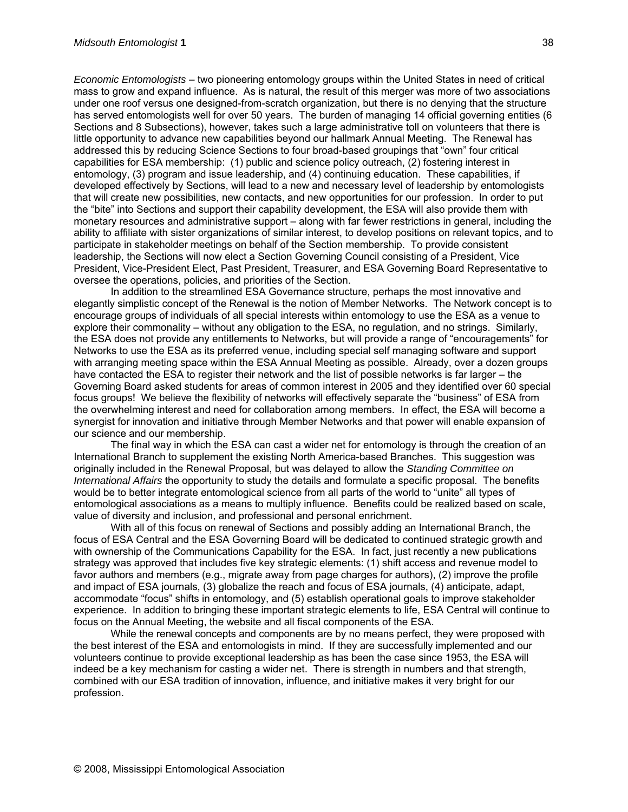*Economic Entomologists* – two pioneering entomology groups within the United States in need of critical mass to grow and expand influence. As is natural, the result of this merger was more of two associations under one roof versus one designed-from-scratch organization, but there is no denying that the structure has served entomologists well for over 50 years. The burden of managing 14 official governing entities (6 Sections and 8 Subsections), however, takes such a large administrative toll on volunteers that there is little opportunity to advance new capabilities beyond our hallmark Annual Meeting. The Renewal has addressed this by reducing Science Sections to four broad-based groupings that "own" four critical capabilities for ESA membership: (1) public and science policy outreach, (2) fostering interest in entomology, (3) program and issue leadership, and (4) continuing education. These capabilities, if developed effectively by Sections, will lead to a new and necessary level of leadership by entomologists that will create new possibilities, new contacts, and new opportunities for our profession. In order to put the "bite" into Sections and support their capability development, the ESA will also provide them with monetary resources and administrative support – along with far fewer restrictions in general, including the ability to affiliate with sister organizations of similar interest, to develop positions on relevant topics, and to participate in stakeholder meetings on behalf of the Section membership. To provide consistent leadership, the Sections will now elect a Section Governing Council consisting of a President, Vice President, Vice-President Elect, Past President, Treasurer, and ESA Governing Board Representative to oversee the operations, policies, and priorities of the Section.

In addition to the streamlined ESA Governance structure, perhaps the most innovative and elegantly simplistic concept of the Renewal is the notion of Member Networks. The Network concept is to encourage groups of individuals of all special interests within entomology to use the ESA as a venue to explore their commonality – without any obligation to the ESA, no regulation, and no strings. Similarly, the ESA does not provide any entitlements to Networks, but will provide a range of "encouragements" for Networks to use the ESA as its preferred venue, including special self managing software and support with arranging meeting space within the ESA Annual Meeting as possible. Already, over a dozen groups have contacted the ESA to register their network and the list of possible networks is far larger – the Governing Board asked students for areas of common interest in 2005 and they identified over 60 special focus groups! We believe the flexibility of networks will effectively separate the "business" of ESA from the overwhelming interest and need for collaboration among members. In effect, the ESA will become a synergist for innovation and initiative through Member Networks and that power will enable expansion of our science and our membership.

The final way in which the ESA can cast a wider net for entomology is through the creation of an International Branch to supplement the existing North America-based Branches. This suggestion was originally included in the Renewal Proposal, but was delayed to allow the *Standing Committee on International Affairs* the opportunity to study the details and formulate a specific proposal. The benefits would be to better integrate entomological science from all parts of the world to "unite" all types of entomological associations as a means to multiply influence. Benefits could be realized based on scale, value of diversity and inclusion, and professional and personal enrichment.

With all of this focus on renewal of Sections and possibly adding an International Branch, the focus of ESA Central and the ESA Governing Board will be dedicated to continued strategic growth and with ownership of the Communications Capability for the ESA. In fact, just recently a new publications strategy was approved that includes five key strategic elements: (1) shift access and revenue model to favor authors and members (e.g., migrate away from page charges for authors), (2) improve the profile and impact of ESA journals, (3) globalize the reach and focus of ESA journals, (4) anticipate, adapt, accommodate "focus" shifts in entomology, and (5) establish operational goals to improve stakeholder experience. In addition to bringing these important strategic elements to life, ESA Central will continue to focus on the Annual Meeting, the website and all fiscal components of the ESA.

While the renewal concepts and components are by no means perfect, they were proposed with the best interest of the ESA and entomologists in mind. If they are successfully implemented and our volunteers continue to provide exceptional leadership as has been the case since 1953, the ESA will indeed be a key mechanism for casting a wider net. There is strength in numbers and that strength, combined with our ESA tradition of innovation, influence, and initiative makes it very bright for our profession.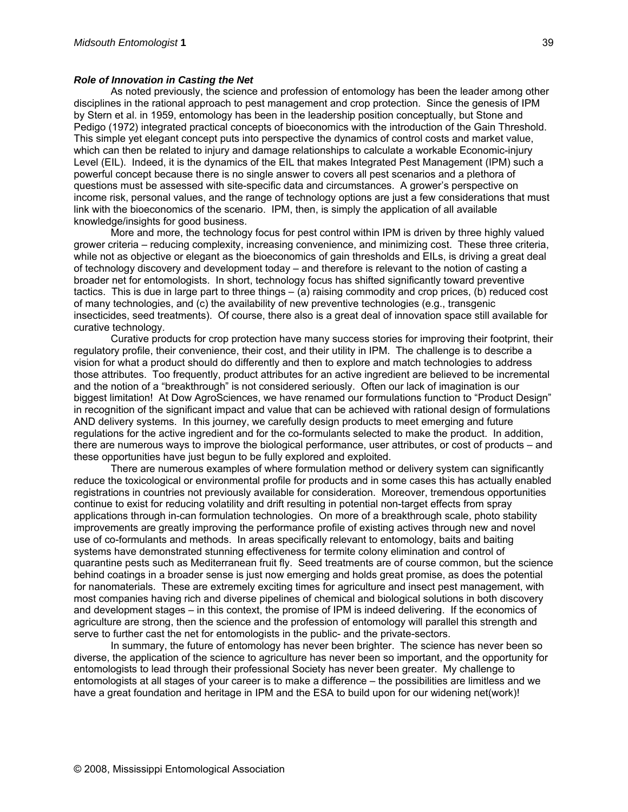#### *Role of Innovation in Casting the Net*

As noted previously, the science and profession of entomology has been the leader among other disciplines in the rational approach to pest management and crop protection. Since the genesis of IPM by Stern et al. in 1959, entomology has been in the leadership position conceptually, but Stone and Pedigo (1972) integrated practical concepts of bioeconomics with the introduction of the Gain Threshold. This simple yet elegant concept puts into perspective the dynamics of control costs and market value, which can then be related to injury and damage relationships to calculate a workable Economic-injury Level (EIL). Indeed, it is the dynamics of the EIL that makes Integrated Pest Management (IPM) such a powerful concept because there is no single answer to covers all pest scenarios and a plethora of questions must be assessed with site-specific data and circumstances. A grower's perspective on income risk, personal values, and the range of technology options are just a few considerations that must link with the bioeconomics of the scenario. IPM, then, is simply the application of all available knowledge/insights for good business.

More and more, the technology focus for pest control within IPM is driven by three highly valued grower criteria – reducing complexity, increasing convenience, and minimizing cost. These three criteria, while not as objective or elegant as the bioeconomics of gain thresholds and EILs, is driving a great deal of technology discovery and development today – and therefore is relevant to the notion of casting a broader net for entomologists. In short, technology focus has shifted significantly toward preventive tactics. This is due in large part to three things – (a) raising commodity and crop prices, (b) reduced cost of many technologies, and (c) the availability of new preventive technologies (e.g., transgenic insecticides, seed treatments). Of course, there also is a great deal of innovation space still available for curative technology.

Curative products for crop protection have many success stories for improving their footprint, their regulatory profile, their convenience, their cost, and their utility in IPM. The challenge is to describe a vision for what a product should do differently and then to explore and match technologies to address those attributes. Too frequently, product attributes for an active ingredient are believed to be incremental and the notion of a "breakthrough" is not considered seriously. Often our lack of imagination is our biggest limitation! At Dow AgroSciences, we have renamed our formulations function to "Product Design" in recognition of the significant impact and value that can be achieved with rational design of formulations AND delivery systems. In this journey, we carefully design products to meet emerging and future regulations for the active ingredient and for the co-formulants selected to make the product. In addition, there are numerous ways to improve the biological performance, user attributes, or cost of products – and these opportunities have just begun to be fully explored and exploited.

There are numerous examples of where formulation method or delivery system can significantly reduce the toxicological or environmental profile for products and in some cases this has actually enabled registrations in countries not previously available for consideration. Moreover, tremendous opportunities continue to exist for reducing volatility and drift resulting in potential non-target effects from spray applications through in-can formulation technologies. On more of a breakthrough scale, photo stability improvements are greatly improving the performance profile of existing actives through new and novel use of co-formulants and methods. In areas specifically relevant to entomology, baits and baiting systems have demonstrated stunning effectiveness for termite colony elimination and control of quarantine pests such as Mediterranean fruit fly. Seed treatments are of course common, but the science behind coatings in a broader sense is just now emerging and holds great promise, as does the potential for nanomaterials. These are extremely exciting times for agriculture and insect pest management, with most companies having rich and diverse pipelines of chemical and biological solutions in both discovery and development stages – in this context, the promise of IPM is indeed delivering. If the economics of agriculture are strong, then the science and the profession of entomology will parallel this strength and serve to further cast the net for entomologists in the public- and the private-sectors.

In summary, the future of entomology has never been brighter. The science has never been so diverse, the application of the science to agriculture has never been so important, and the opportunity for entomologists to lead through their professional Society has never been greater. My challenge to entomologists at all stages of your career is to make a difference – the possibilities are limitless and we have a great foundation and heritage in IPM and the ESA to build upon for our widening net(work)!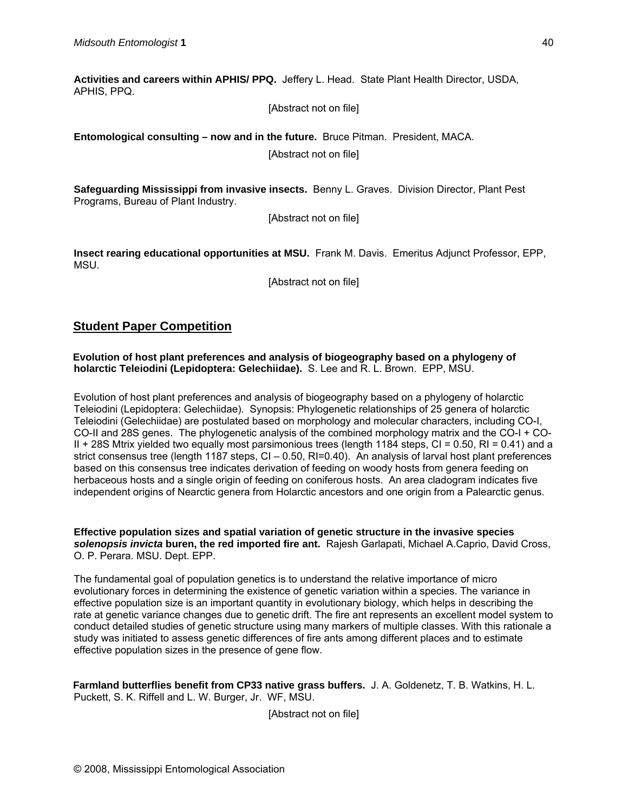**Activities and careers within APHIS/ PPQ.** Jeffery L. Head.State Plant Health Director, USDA, APHIS, PPQ.

[Abstract not on file]

**Entomological consulting – now and in the future.** Bruce Pitman. President, MACA.

[Abstract not on file]

**Safeguarding Mississippi from invasive insects.** Benny L. Graves.Division Director, Plant Pest Programs, Bureau of Plant Industry.

[Abstract not on file]

**Insect rearing educational opportunities at MSU.** Frank M. Davis. Emeritus Adjunct Professor, EPP, MSU.

[Abstract not on file]

## **Student Paper Competition**

**Evolution of host plant preferences and analysis of biogeography based on a phylogeny of holarctic Teleiodini (Lepidoptera: Gelechiidae).** S. Lee and R. L. Brown. EPP, MSU.

Evolution of host plant preferences and analysis of biogeography based on a phylogeny of holarctic Teleiodini (Lepidoptera: Gelechiidae). Synopsis: Phylogenetic relationships of 25 genera of holarctic Teleiodini (Gelechiidae) are postulated based on morphology and molecular characters, including CO-I, CO-II and 28S genes. The phylogenetic analysis of the combined morphology matrix and the CO-I + CO-II + 28S Mtrix yielded two equally most parsimonious trees (length 1184 steps, CI = 0.50, RI = 0.41) and a strict consensus tree (length 1187 steps, CI – 0.50, RI=0.40). An analysis of larval host plant preferences based on this consensus tree indicates derivation of feeding on woody hosts from genera feeding on herbaceous hosts and a single origin of feeding on coniferous hosts. An area cladogram indicates five independent origins of Nearctic genera from Holarctic ancestors and one origin from a Palearctic genus.

**Effective population sizes and spatial variation of genetic structure in the invasive species**  *solenopsis invicta* **buren, the red imported fire ant.** Rajesh Garlapati, Michael A.Caprio, David Cross, O. P. Perara. MSU. Dept. EPP.

The fundamental goal of population genetics is to understand the relative importance of micro evolutionary forces in determining the existence of genetic variation within a species. The variance in effective population size is an important quantity in evolutionary biology, which helps in describing the rate at genetic variance changes due to genetic drift. The fire ant represents an excellent model system to conduct detailed studies of genetic structure using many markers of multiple classes. With this rationale a study was initiated to assess genetic differences of fire ants among different places and to estimate effective population sizes in the presence of gene flow.

**Farmland butterflies benefit from CP33 native grass buffers.** J. A. Goldenetz, T. B. Watkins, H. L. Puckett, S. K. Riffell and L. W. Burger, Jr. WF, MSU.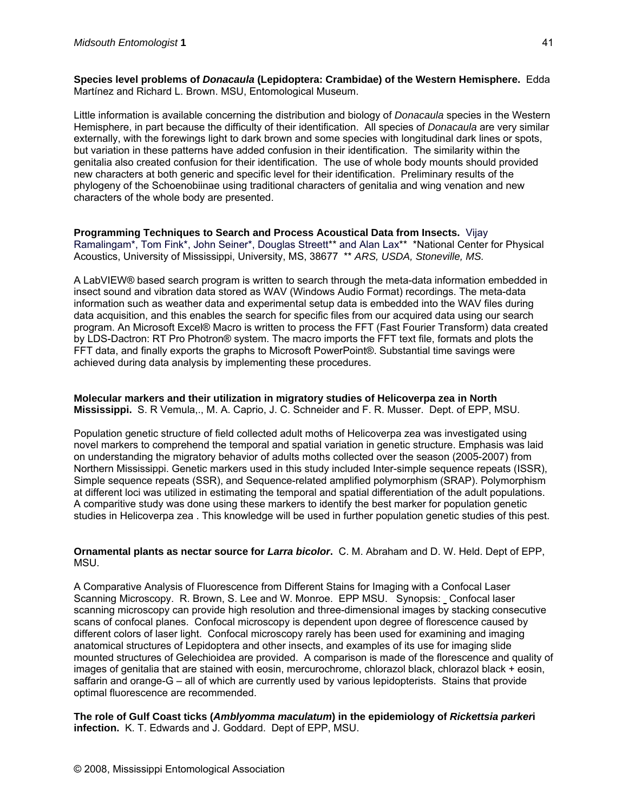**Species level problems of** *Donacaula* **(Lepidoptera: Crambidae) of the Western Hemisphere.** Edda Martínez and Richard L. Brown. MSU, Entomological Museum.

Little information is available concerning the distribution and biology of *Donacaula* species in the Western Hemisphere, in part because the difficulty of their identification. All species of *Donacaula* are very similar externally, with the forewings light to dark brown and some species with longitudinal dark lines or spots, but variation in these patterns have added confusion in their identification. The similarity within the genitalia also created confusion for their identification. The use of whole body mounts should provided new characters at both generic and specific level for their identification. Preliminary results of the phylogeny of the Schoenobiinae using traditional characters of genitalia and wing venation and new characters of the whole body are presented.

**Programming Techniques to Search and Process Acoustical Data from Insects.** Vijay Ramalingam\*, Tom Fink\*, John Seiner\*, Douglas Streett\*\* and Alan Lax\*\* \*National Center for Physical Acoustics, University of Mississippi, University, MS, 38677 \*\* *ARS, USDA, Stoneville, MS.* 

A LabVIEW® based search program is written to search through the meta-data information embedded in insect sound and vibration data stored as WAV (Windows Audio Format) recordings. The meta-data information such as weather data and experimental setup data is embedded into the WAV files during data acquisition, and this enables the search for specific files from our acquired data using our search program. An Microsoft Excel® Macro is written to process the FFT (Fast Fourier Transform) data created by LDS-Dactron: RT Pro Photron® system. The macro imports the FFT text file, formats and plots the FFT data, and finally exports the graphs to Microsoft PowerPoint®. Substantial time savings were achieved during data analysis by implementing these procedures.

**Molecular markers and their utilization in migratory studies of Helicoverpa zea in North Mississippi.** S. R Vemula,., M. A. Caprio, J. C. Schneider and F. R. Musser. Dept. of EPP, MSU.

Population genetic structure of field collected adult moths of Helicoverpa zea was investigated using novel markers to comprehend the temporal and spatial variation in genetic structure. Emphasis was laid on understanding the migratory behavior of adults moths collected over the season (2005-2007) from Northern Mississippi. Genetic markers used in this study included Inter-simple sequence repeats (ISSR), Simple sequence repeats (SSR), and Sequence-related amplified polymorphism (SRAP). Polymorphism at different loci was utilized in estimating the temporal and spatial differentiation of the adult populations. A comparitive study was done using these markers to identify the best marker for population genetic studies in Helicoverpa zea . This knowledge will be used in further population genetic studies of this pest.

**Ornamental plants as nectar source for** *Larra bicolor***.** C. M. Abraham and D. W. Held. Dept of EPP, MSU.

A Comparative Analysis of Fluorescence from Different Stains for Imaging with a Confocal Laser Scanning Microscopy. R. Brown, S. Lee and W. Monroe. EPP MSU. Synopsis: Confocal laser scanning microscopy can provide high resolution and three-dimensional images by stacking consecutive scans of confocal planes. Confocal microscopy is dependent upon degree of florescence caused by different colors of laser light. Confocal microscopy rarely has been used for examining and imaging anatomical structures of Lepidoptera and other insects, and examples of its use for imaging slide mounted structures of Gelechioidea are provided. A comparison is made of the florescence and quality of images of genitalia that are stained with eosin, mercurochrome, chlorazol black, chlorazol black + eosin, saffarin and orange-G – all of which are currently used by various lepidopterists. Stains that provide optimal fluorescence are recommended.

**The role of Gulf Coast ticks (***Amblyomma maculatum***) in the epidemiology of** *Rickettsia parker***i infection.** K. T. Edwards and J. Goddard. Dept of EPP, MSU.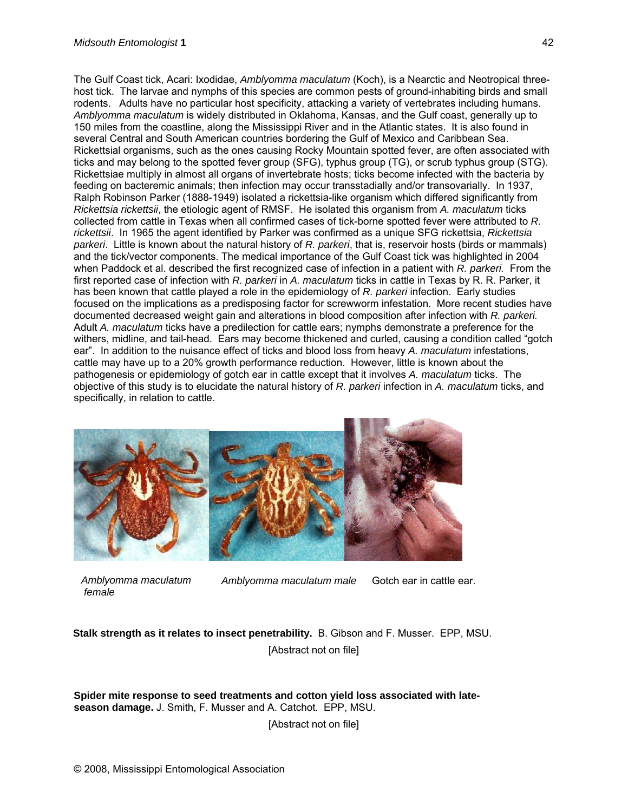The Gulf Coast tick, Acari: Ixodidae, *Amblyomma maculatum* (Koch), is a Nearctic and Neotropical threehost tick. The larvae and nymphs of this species are common pests of ground-inhabiting birds and small rodents. Adults have no particular host specificity, attacking a variety of vertebrates including humans. *Amblyomma maculatum* is widely distributed in Oklahoma, Kansas, and the Gulf coast, generally up to 150 miles from the coastline, along the Mississippi River and in the Atlantic states. It is also found in several Central and South American countries bordering the Gulf of Mexico and Caribbean Sea. Rickettsial organisms, such as the ones causing Rocky Mountain spotted fever, are often associated with ticks and may belong to the spotted fever group (SFG), typhus group (TG), or scrub typhus group (STG). Rickettsiae multiply in almost all organs of invertebrate hosts; ticks become infected with the bacteria by feeding on bacteremic animals; then infection may occur transstadially and/or transovarially. In 1937, Ralph Robinson Parker (1888-1949) isolated a rickettsia-like organism which differed significantly from *Rickettsia rickettsii*, the etiologic agent of RMSF. He isolated this organism from *A. maculatum* ticks collected from cattle in Texas when all confirmed cases of tick-borne spotted fever were attributed to *R. rickettsii*. In 1965 the agent identified by Parker was confirmed as a unique SFG rickettsia, *Rickettsia parkeri*. Little is known about the natural history of *R. parkeri*, that is, reservoir hosts (birds or mammals) and the tick/vector components. The medical importance of the Gulf Coast tick was highlighted in 2004 when Paddock et al. described the first recognized case of infection in a patient with *R. parkeri.* From the first reported case of infection with *R. parkeri* in *A. maculatum* ticks in cattle in Texas by R. R. Parker, it has been known that cattle played a role in the epidemiology of *R. parkeri* infection. Early studies focused on the implications as a predisposing factor for screwworm infestation. More recent studies have documented decreased weight gain and alterations in blood composition after infection with *R. parkeri.* Adult *A. maculatum* ticks have a predilection for cattle ears; nymphs demonstrate a preference for the withers, midline, and tail-head. Ears may become thickened and curled, causing a condition called "gotch ear". In addition to the nuisance effect of ticks and blood loss from heavy *A. maculatum* infestations, cattle may have up to a 20% growth performance reduction. However, little is known about the pathogenesis or epidemiology of gotch ear in cattle except that it involves *A. maculatum* ticks. The objective of this study is to elucidate the natural history of *R. parkeri* infection in *A. maculatum* ticks, and specifically, in relation to cattle.



*Amblyomma maculatum female* 

*Amblyomma maculatum male* Gotch ear in cattle ear.

**Stalk strength as it relates to insect penetrability.** B. Gibson and F. Musser. EPP, MSU. [Abstract not on file]

**Spider mite response to seed treatments and cotton yield loss associated with lateseason damage.** J. Smith, F. Musser and A. Catchot. EPP, MSU.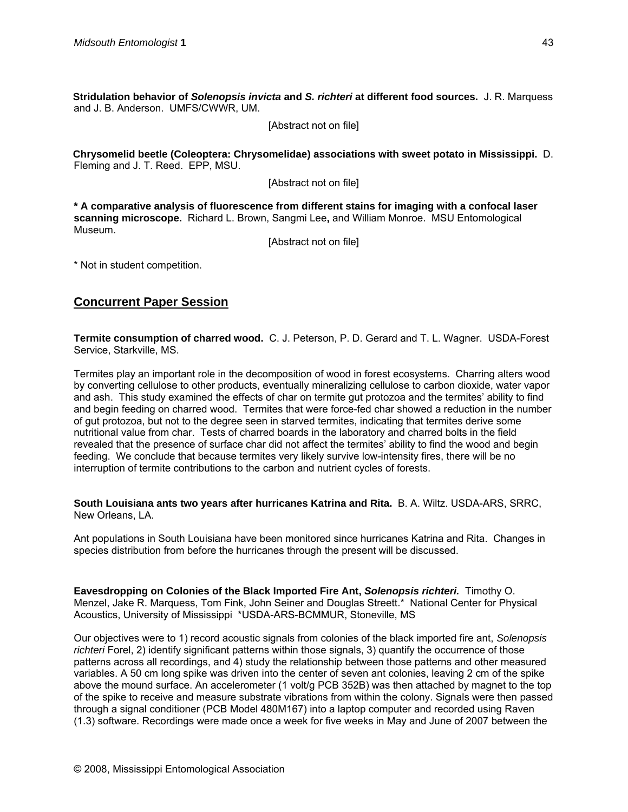**Stridulation behavior of** *Solenopsis invicta* **and** *S. richteri* **at different food sources.** J. R. Marquess and J. B. Anderson. UMFS/CWWR, UM.

[Abstract not on file]

**Chrysomelid beetle (Coleoptera: Chrysomelidae) associations with sweet potato in Mississippi.** D. Fleming and J. T. Reed. EPP, MSU.

[Abstract not on file]

**\* A comparative analysis of fluorescence from different stains for imaging with a confocal laser scanning microscope.** Richard L. Brown, Sangmi Lee**,** and William Monroe. MSU Entomological Museum.

[Abstract not on file]

\* Not in student competition.

## **Concurrent Paper Session**

**Termite consumption of charred wood.** C. J. Peterson, P. D. Gerard and T. L. Wagner. USDA-Forest Service, Starkville, MS.

Termites play an important role in the decomposition of wood in forest ecosystems. Charring alters wood by converting cellulose to other products, eventually mineralizing cellulose to carbon dioxide, water vapor and ash. This study examined the effects of char on termite gut protozoa and the termites' ability to find and begin feeding on charred wood. Termites that were force-fed char showed a reduction in the number of gut protozoa, but not to the degree seen in starved termites, indicating that termites derive some nutritional value from char. Tests of charred boards in the laboratory and charred bolts in the field revealed that the presence of surface char did not affect the termites' ability to find the wood and begin feeding. We conclude that because termites very likely survive low-intensity fires, there will be no interruption of termite contributions to the carbon and nutrient cycles of forests.

**South Louisiana ants two years after hurricanes Katrina and Rita.** B. A. Wiltz. USDA-ARS, SRRC, New Orleans, LA.

Ant populations in South Louisiana have been monitored since hurricanes Katrina and Rita. Changes in species distribution from before the hurricanes through the present will be discussed.

**Eavesdropping on Colonies of the Black Imported Fire Ant,** *Solenopsis richteri.* Timothy O. Menzel, Jake R. Marquess, Tom Fink, John Seiner and Douglas Streett.\* National Center for Physical Acoustics, University of Mississippi \*USDA-ARS-BCMMUR, Stoneville, MS

Our objectives were to 1) record acoustic signals from colonies of the black imported fire ant, *Solenopsis richteri* Forel, 2) identify significant patterns within those signals, 3) quantify the occurrence of those patterns across all recordings, and 4) study the relationship between those patterns and other measured variables. A 50 cm long spike was driven into the center of seven ant colonies, leaving 2 cm of the spike above the mound surface. An accelerometer (1 volt/g PCB 352B) was then attached by magnet to the top of the spike to receive and measure substrate vibrations from within the colony. Signals were then passed through a signal conditioner (PCB Model 480M167) into a laptop computer and recorded using Raven (1.3) software. Recordings were made once a week for five weeks in May and June of 2007 between the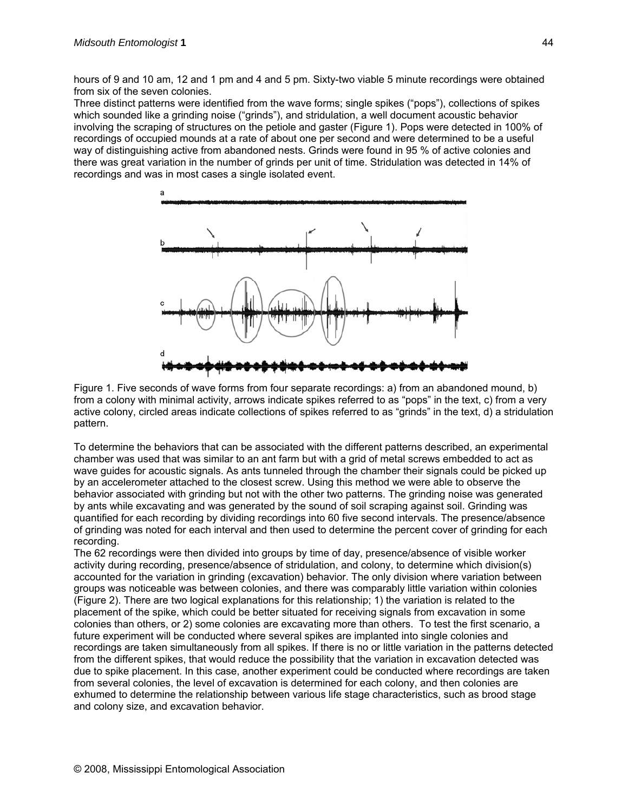hours of 9 and 10 am, 12 and 1 pm and 4 and 5 pm. Sixty-two viable 5 minute recordings were obtained from six of the seven colonies.

Three distinct patterns were identified from the wave forms; single spikes ("pops"), collections of spikes which sounded like a grinding noise ("grinds"), and stridulation, a well document acoustic behavior involving the scraping of structures on the petiole and gaster (Figure 1). Pops were detected in 100% of recordings of occupied mounds at a rate of about one per second and were determined to be a useful way of distinguishing active from abandoned nests. Grinds were found in 95 % of active colonies and there was great variation in the number of grinds per unit of time. Stridulation was detected in 14% of recordings and was in most cases a single isolated event.



Figure 1. Five seconds of wave forms from four separate recordings: a) from an abandoned mound, b) from a colony with minimal activity, arrows indicate spikes referred to as "pops" in the text, c) from a very active colony, circled areas indicate collections of spikes referred to as "grinds" in the text, d) a stridulation pattern.

To determine the behaviors that can be associated with the different patterns described, an experimental chamber was used that was similar to an ant farm but with a grid of metal screws embedded to act as wave guides for acoustic signals. As ants tunneled through the chamber their signals could be picked up by an accelerometer attached to the closest screw. Using this method we were able to observe the behavior associated with grinding but not with the other two patterns. The grinding noise was generated by ants while excavating and was generated by the sound of soil scraping against soil. Grinding was quantified for each recording by dividing recordings into 60 five second intervals. The presence/absence of grinding was noted for each interval and then used to determine the percent cover of grinding for each recording.

The 62 recordings were then divided into groups by time of day, presence/absence of visible worker activity during recording, presence/absence of stridulation, and colony, to determine which division(s) accounted for the variation in grinding (excavation) behavior. The only division where variation between groups was noticeable was between colonies, and there was comparably little variation within colonies (Figure 2). There are two logical explanations for this relationship; 1) the variation is related to the placement of the spike, which could be better situated for receiving signals from excavation in some colonies than others, or 2) some colonies are excavating more than others. To test the first scenario, a future experiment will be conducted where several spikes are implanted into single colonies and recordings are taken simultaneously from all spikes. If there is no or little variation in the patterns detected from the different spikes, that would reduce the possibility that the variation in excavation detected was due to spike placement. In this case, another experiment could be conducted where recordings are taken from several colonies, the level of excavation is determined for each colony, and then colonies are exhumed to determine the relationship between various life stage characteristics, such as brood stage and colony size, and excavation behavior.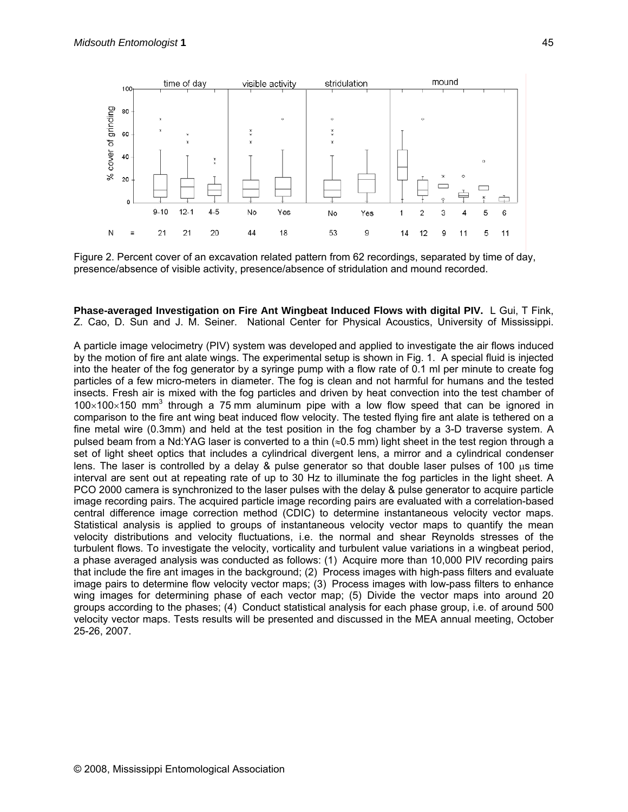

Figure 2. Percent cover of an excavation related pattern from 62 recordings, separated by time of day, presence/absence of visible activity, presence/absence of stridulation and mound recorded.

**Phase-averaged Investigation on Fire Ant Wingbeat Induced Flows with digital PIV.** L Gui, T Fink, Z. Cao, D. Sun and J. M. Seiner. National Center for Physical Acoustics, University of Mississippi.

A particle image velocimetry (PIV) system was developed and applied to investigate the air flows induced by the motion of fire ant alate wings. The experimental setup is shown in Fig. 1. A special fluid is injected into the heater of the fog generator by a syringe pump with a flow rate of 0.1 ml per minute to create fog particles of a few micro-meters in diameter. The fog is clean and not harmful for humans and the tested insects. Fresh air is mixed with the fog particles and driven by heat convection into the test chamber of  $100\times100\times150$  mm<sup>3</sup> through a 75 mm aluminum pipe with a low flow speed that can be ignored in comparison to the fire ant wing beat induced flow velocity. The tested flying fire ant alate is tethered on a fine metal wire (0.3mm) and held at the test position in the fog chamber by a 3-D traverse system. A pulsed beam from a Nd:YAG laser is converted to a thin (≈0.5 mm) light sheet in the test region through a set of light sheet optics that includes a cylindrical divergent lens, a mirror and a cylindrical condenser lens. The laser is controlled by a delay & pulse generator so that double laser pulses of 100  $\mu$ s time interval are sent out at repeating rate of up to 30 Hz to illuminate the fog particles in the light sheet. A PCO 2000 camera is synchronized to the laser pulses with the delay & pulse generator to acquire particle image recording pairs. The acquired particle image recording pairs are evaluated with a correlation-based central difference image correction method (CDIC) to determine instantaneous velocity vector maps. Statistical analysis is applied to groups of instantaneous velocity vector maps to quantify the mean velocity distributions and velocity fluctuations, i.e. the normal and shear Reynolds stresses of the turbulent flows. To investigate the velocity, vorticality and turbulent value variations in a wingbeat period, a phase averaged analysis was conducted as follows: (1) Acquire more than 10,000 PIV recording pairs that include the fire ant images in the background; (2) Process images with high-pass filters and evaluate image pairs to determine flow velocity vector maps; (3) Process images with low-pass filters to enhance wing images for determining phase of each vector map; (5) Divide the vector maps into around 20 groups according to the phases; (4) Conduct statistical analysis for each phase group, i.e. of around 500 velocity vector maps. Tests results will be presented and discussed in the MEA annual meeting, October 25-26, 2007.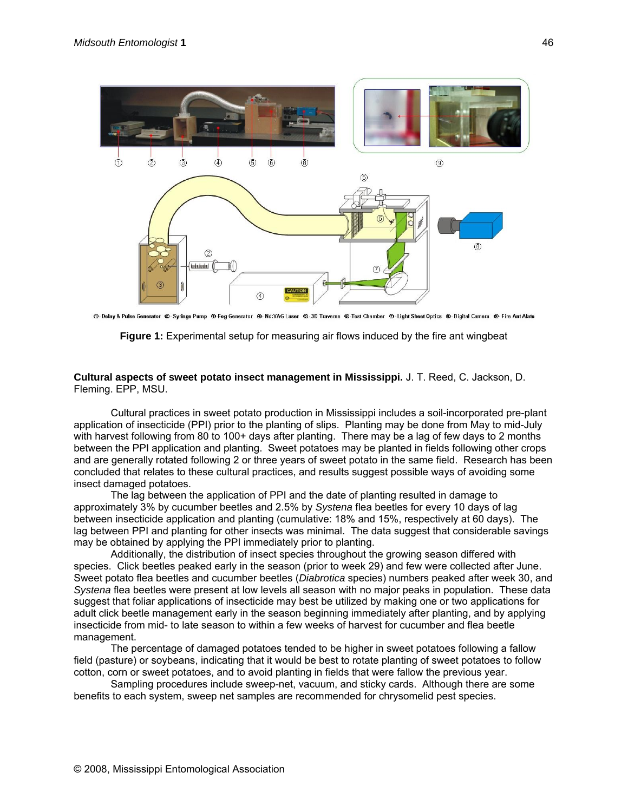

© - Delay & Pulse Generator © - Syringe Pump © -Fog Generator © - Nd:YAG Laser © -3D Traverse © -Test Chamber © - Light Sheet Optics © - Digital Camera © - Fire Ant Alate



#### **Cultural aspects of sweet potato insect management in Mississippi.** J. T. Reed, C. Jackson, D. Fleming. EPP, MSU.

Cultural practices in sweet potato production in Mississippi includes a soil-incorporated pre-plant application of insecticide (PPI) prior to the planting of slips. Planting may be done from May to mid-July with harvest following from 80 to 100+ days after planting. There may be a lag of few days to 2 months between the PPI application and planting. Sweet potatoes may be planted in fields following other crops and are generally rotated following 2 or three years of sweet potato in the same field. Research has been concluded that relates to these cultural practices, and results suggest possible ways of avoiding some insect damaged potatoes.

The lag between the application of PPI and the date of planting resulted in damage to approximately 3% by cucumber beetles and 2.5% by *Systena* flea beetles for every 10 days of lag between insecticide application and planting (cumulative: 18% and 15%, respectively at 60 days). The lag between PPI and planting for other insects was minimal. The data suggest that considerable savings may be obtained by applying the PPI immediately prior to planting.

Additionally, the distribution of insect species throughout the growing season differed with species. Click beetles peaked early in the season (prior to week 29) and few were collected after June. Sweet potato flea beetles and cucumber beetles (*Diabrotica* species) numbers peaked after week 30, and *Systena* flea beetles were present at low levels all season with no major peaks in population. These data suggest that foliar applications of insecticide may best be utilized by making one or two applications for adult click beetle management early in the season beginning immediately after planting, and by applying insecticide from mid- to late season to within a few weeks of harvest for cucumber and flea beetle management.

The percentage of damaged potatoes tended to be higher in sweet potatoes following a fallow field (pasture) or soybeans, indicating that it would be best to rotate planting of sweet potatoes to follow cotton, corn or sweet potatoes, and to avoid planting in fields that were fallow the previous year.

Sampling procedures include sweep-net, vacuum, and sticky cards. Although there are some benefits to each system, sweep net samples are recommended for chrysomelid pest species.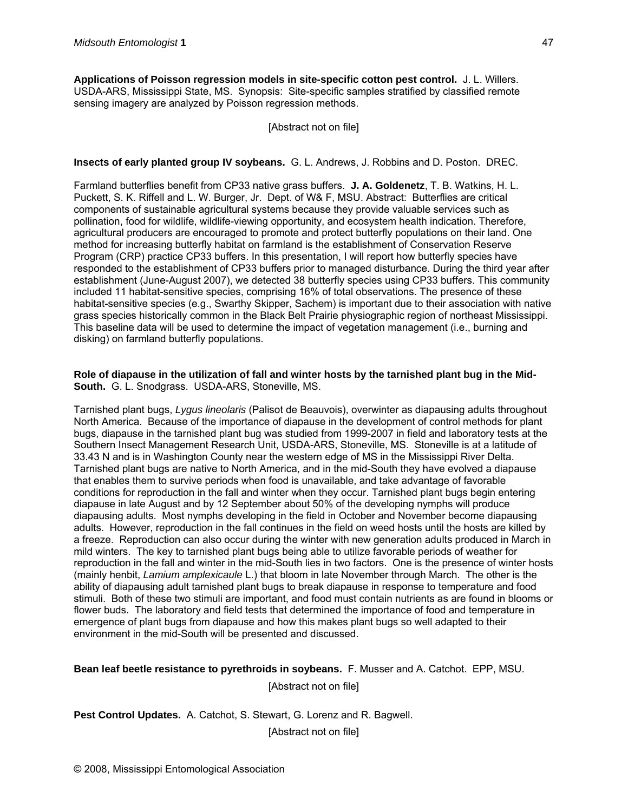**Applications of Poisson regression models in site-specific cotton pest control.** J. L. Willers. USDA-ARS, Mississippi State, MS. Synopsis: Site-specific samples stratified by classified remote sensing imagery are analyzed by Poisson regression methods.

[Abstract not on file]

#### **Insects of early planted group IV soybeans.** G. L. Andrews, J. Robbins and D. Poston. DREC.

Farmland butterflies benefit from CP33 native grass buffers. **J. A. Goldenetz**, T. B. Watkins, H. L. Puckett, S. K. Riffell and L. W. Burger, Jr. Dept. of W& F, MSU. Abstract: Butterflies are critical components of sustainable agricultural systems because they provide valuable services such as pollination, food for wildlife, wildlife-viewing opportunity, and ecosystem health indication. Therefore, agricultural producers are encouraged to promote and protect butterfly populations on their land. One method for increasing butterfly habitat on farmland is the establishment of Conservation Reserve Program (CRP) practice CP33 buffers. In this presentation, I will report how butterfly species have responded to the establishment of CP33 buffers prior to managed disturbance. During the third year after establishment (June-August 2007), we detected 38 butterfly species using CP33 buffers. This community included 11 habitat-sensitive species, comprising 16% of total observations. The presence of these habitat-sensitive species (e.g., Swarthy Skipper, Sachem) is important due to their association with native grass species historically common in the Black Belt Prairie physiographic region of northeast Mississippi. This baseline data will be used to determine the impact of vegetation management (i.e., burning and disking) on farmland butterfly populations.

#### **Role of diapause in the utilization of fall and winter hosts by the tarnished plant bug in the Mid-South.** G. L. Snodgrass. USDA-ARS, Stoneville, MS.

Tarnished plant bugs, *Lygus lineolaris* (Palisot de Beauvois), overwinter as diapausing adults throughout North America. Because of the importance of diapause in the development of control methods for plant bugs, diapause in the tarnished plant bug was studied from 1999-2007 in field and laboratory tests at the Southern Insect Management Research Unit, USDA-ARS, Stoneville, MS. Stoneville is at a latitude of 33.43 N and is in Washington County near the western edge of MS in the Mississippi River Delta. Tarnished plant bugs are native to North America, and in the mid-South they have evolved a diapause that enables them to survive periods when food is unavailable, and take advantage of favorable conditions for reproduction in the fall and winter when they occur. Tarnished plant bugs begin entering diapause in late August and by 12 September about 50% of the developing nymphs will produce diapausing adults. Most nymphs developing in the field in October and November become diapausing adults. However, reproduction in the fall continues in the field on weed hosts until the hosts are killed by a freeze. Reproduction can also occur during the winter with new generation adults produced in March in mild winters. The key to tarnished plant bugs being able to utilize favorable periods of weather for reproduction in the fall and winter in the mid-South lies in two factors. One is the presence of winter hosts (mainly henbit, *Lamium amplexicaule* L.) that bloom in late November through March. The other is the ability of diapausing adult tarnished plant bugs to break diapause in response to temperature and food stimuli. Both of these two stimuli are important, and food must contain nutrients as are found in blooms or flower buds. The laboratory and field tests that determined the importance of food and temperature in emergence of plant bugs from diapause and how this makes plant bugs so well adapted to their environment in the mid-South will be presented and discussed.

#### **Bean leaf beetle resistance to pyrethroids in soybeans.** F. Musser and A. Catchot. EPP, MSU.

[Abstract not on file]

**Pest Control Updates.** A. Catchot, S. Stewart, G. Lorenz and R. Bagwell.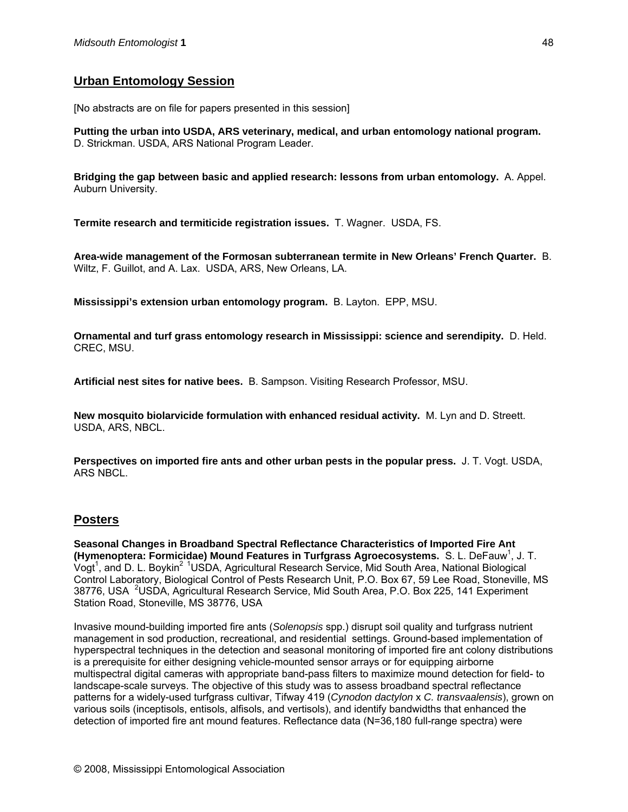## **Urban Entomology Session**

[No abstracts are on file for papers presented in this session]

**Putting the urban into USDA, ARS veterinary, medical, and urban entomology national program.** D. Strickman. USDA, ARS National Program Leader.

**Bridging the gap between basic and applied research: lessons from urban entomology.** A. Appel. Auburn University.

**Termite research and termiticide registration issues.** T. Wagner. USDA, FS.

**Area-wide management of the Formosan subterranean termite in New Orleans' French Quarter.** B. Wiltz, F. Guillot, and A. Lax. USDA, ARS, New Orleans, LA.

**Mississippi's extension urban entomology program.** B. Layton.EPP, MSU.

**Ornamental and turf grass entomology research in Mississippi: science and serendipity.** D. Held. CREC, MSU.

**Artificial nest sites for native bees.** B. Sampson. Visiting Research Professor, MSU.

**New mosquito biolarvicide formulation with enhanced residual activity.** M. Lyn and D. Streett. USDA, ARS, NBCL.

**Perspectives on imported fire ants and other urban pests in the popular press.** J. T. Vogt. USDA, ARS NBCL.

### **Posters**

**Seasonal Changes in Broadband Spectral Reflectance Characteristics of Imported Fire Ant (Hymenoptera: Formicidae) Mound Features in Turfgrass Agroecosystems. S. L. DeFauw<sup>1</sup>, J. T.** Vogt<sup>1</sup>, and D. L. Boykin<sup>2 1</sup>USDA, Agricultural Research Service, Mid South Area, National Biological Control Laboratory, Biological Control of Pests Research Unit, P.O. Box 67, 59 Lee Road, Stoneville, MS 38776, USA <sup>2</sup>USDA, Agricultural Research Service, Mid South Area, P.O. Box 225, 141 Experiment Station Road, Stoneville, MS 38776, USA

Invasive mound-building imported fire ants (*Solenopsis* spp.) disrupt soil quality and turfgrass nutrient management in sod production, recreational, and residential settings. Ground-based implementation of hyperspectral techniques in the detection and seasonal monitoring of imported fire ant colony distributions is a prerequisite for either designing vehicle-mounted sensor arrays or for equipping airborne multispectral digital cameras with appropriate band-pass filters to maximize mound detection for field- to landscape-scale surveys. The objective of this study was to assess broadband spectral reflectance patterns for a widely-used turfgrass cultivar, Tifway 419 (*Cynodon dactylon* x *C. transvaalensis*), grown on various soils (inceptisols, entisols, alfisols, and vertisols), and identify bandwidths that enhanced the detection of imported fire ant mound features. Reflectance data (N=36,180 full-range spectra) were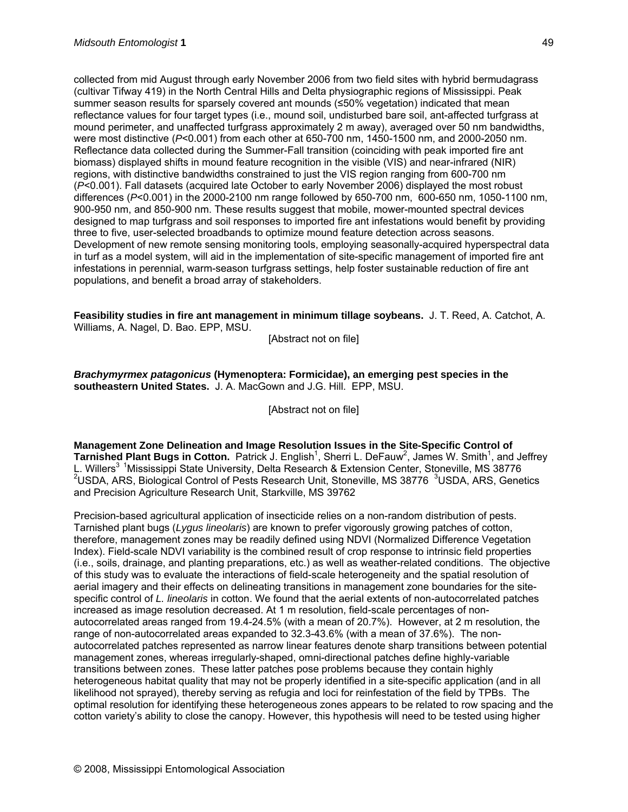collected from mid August through early November 2006 from two field sites with hybrid bermudagrass (cultivar Tifway 419) in the North Central Hills and Delta physiographic regions of Mississippi. Peak summer season results for sparsely covered ant mounds (≤50% vegetation) indicated that mean reflectance values for four target types (i.e., mound soil, undisturbed bare soil, ant-affected turfgrass at mound perimeter, and unaffected turfgrass approximately 2 m away), averaged over 50 nm bandwidths, were most distinctive (*P*<0.001) from each other at 650-700 nm, 1450-1500 nm, and 2000-2050 nm. Reflectance data collected during the Summer-Fall transition (coinciding with peak imported fire ant biomass) displayed shifts in mound feature recognition in the visible (VIS) and near-infrared (NIR) regions, with distinctive bandwidths constrained to just the VIS region ranging from 600-700 nm (*P*<0.001). Fall datasets (acquired late October to early November 2006) displayed the most robust differences (*P*<0.001) in the 2000-2100 nm range followed by 650-700 nm, 600-650 nm, 1050-1100 nm, 900-950 nm, and 850-900 nm. These results suggest that mobile, mower-mounted spectral devices designed to map turfgrass and soil responses to imported fire ant infestations would benefit by providing three to five, user-selected broadbands to optimize mound feature detection across seasons. Development of new remote sensing monitoring tools, employing seasonally-acquired hyperspectral data in turf as a model system, will aid in the implementation of site-specific management of imported fire ant infestations in perennial, warm-season turfgrass settings, help foster sustainable reduction of fire ant populations, and benefit a broad array of stakeholders.

#### **Feasibility studies in fire ant management in minimum tillage soybeans.** J. T. Reed, A. Catchot, A. Williams, A. Nagel, D. Bao. EPP, MSU.

[Abstract not on file]

*Brachymyrmex patagonicus* **(Hymenoptera: Formicidae), an emerging pest species in the southeastern United States.** J. A. MacGown and J.G. Hill. EPP, MSU.

[Abstract not on file]

**Management Zone Delineation and Image Resolution Issues in the Site-Specific Control of**  Tarnished Plant Bugs in Cotton. Patrick J. English<sup>1</sup>, Sherri L. DeFauw<sup>2</sup>, James W. Smith<sup>1</sup>, and Jeffrey L. Willers<sup>3 1</sup>Mississippi State University, Delta Research & Extension Center, Stoneville, MS 38776 <sup>2</sup>USDA, ARS, Biological Control of Pests Research Unit, Stoneville, MS 38776 <sup>3</sup>USDA, ARS, Genetics and Precision Agriculture Research Unit, Starkville, MS 39762

Precision-based agricultural application of insecticide relies on a non-random distribution of pests. Tarnished plant bugs (*Lygus lineolaris*) are known to prefer vigorously growing patches of cotton, therefore, management zones may be readily defined using NDVI (Normalized Difference Vegetation Index). Field-scale NDVI variability is the combined result of crop response to intrinsic field properties (i.e., soils, drainage, and planting preparations, etc.) as well as weather-related conditions. The objective of this study was to evaluate the interactions of field-scale heterogeneity and the spatial resolution of aerial imagery and their effects on delineating transitions in management zone boundaries for the sitespecific control of *L. lineolaris* in cotton. We found that the aerial extents of non-autocorrelated patches increased as image resolution decreased. At 1 m resolution, field-scale percentages of nonautocorrelated areas ranged from 19.4-24.5% (with a mean of 20.7%). However, at 2 m resolution, the range of non-autocorrelated areas expanded to 32.3-43.6% (with a mean of 37.6%). The nonautocorrelated patches represented as narrow linear features denote sharp transitions between potential management zones, whereas irregularly-shaped, omni-directional patches define highly-variable transitions between zones. These latter patches pose problems because they contain highly heterogeneous habitat quality that may not be properly identified in a site-specific application (and in all likelihood not sprayed), thereby serving as refugia and loci for reinfestation of the field by TPBs. The optimal resolution for identifying these heterogeneous zones appears to be related to row spacing and the cotton variety's ability to close the canopy. However, this hypothesis will need to be tested using higher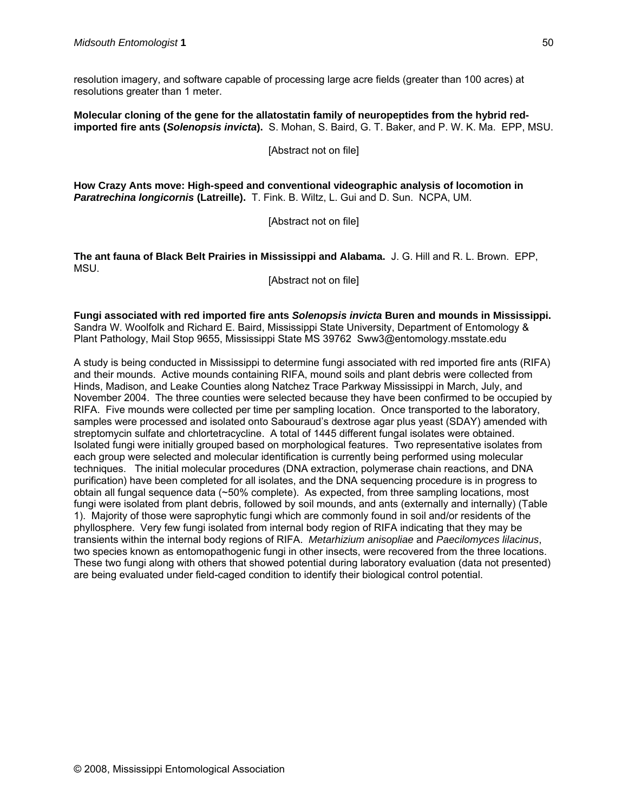resolution imagery, and software capable of processing large acre fields (greater than 100 acres) at resolutions greater than 1 meter.

**Molecular cloning of the gene for the allatostatin family of neuropeptides from the hybrid redimported fire ants (***Solenopsis invicta***).** S. Mohan, S. Baird, G. T. Baker, and P. W. K. Ma. EPP, MSU.

[Abstract not on file]

**How Crazy Ants move: High-speed and conventional videographic analysis of locomotion in**  *Paratrechina longicornis* **(Latreille).** T. Fink. B. Wiltz, L. Gui and D. Sun. NCPA, UM.

[Abstract not on file]

**The ant fauna of Black Belt Prairies in Mississippi and Alabama.** J. G. Hill and R. L. Brown. EPP, MSU.

[Abstract not on file]

**Fungi associated with red imported fire ants** *Solenopsis invicta* **Buren and mounds in Mississippi.**  Sandra W. Woolfolk and Richard E. Baird, Mississippi State University, Department of Entomology & Plant Pathology, Mail Stop 9655, Mississippi State MS 39762 Sww3@entomology.msstate.edu

A study is being conducted in Mississippi to determine fungi associated with red imported fire ants (RIFA) and their mounds. Active mounds containing RIFA, mound soils and plant debris were collected from Hinds, Madison, and Leake Counties along Natchez Trace Parkway Mississippi in March, July, and November 2004. The three counties were selected because they have been confirmed to be occupied by RIFA. Five mounds were collected per time per sampling location. Once transported to the laboratory, samples were processed and isolated onto Sabouraud's dextrose agar plus yeast (SDAY) amended with streptomycin sulfate and chlortetracycline. A total of 1445 different fungal isolates were obtained. Isolated fungi were initially grouped based on morphological features. Two representative isolates from each group were selected and molecular identification is currently being performed using molecular techniques. The initial molecular procedures (DNA extraction, polymerase chain reactions, and DNA purification) have been completed for all isolates, and the DNA sequencing procedure is in progress to obtain all fungal sequence data (~50% complete). As expected, from three sampling locations, most fungi were isolated from plant debris, followed by soil mounds, and ants (externally and internally) (Table 1). Majority of those were saprophytic fungi which are commonly found in soil and/or residents of the phyllosphere. Very few fungi isolated from internal body region of RIFA indicating that they may be transients within the internal body regions of RIFA. *Metarhizium anisopliae* and *Paecilomyces lilacinus*, two species known as entomopathogenic fungi in other insects, were recovered from the three locations. These two fungi along with others that showed potential during laboratory evaluation (data not presented) are being evaluated under field-caged condition to identify their biological control potential.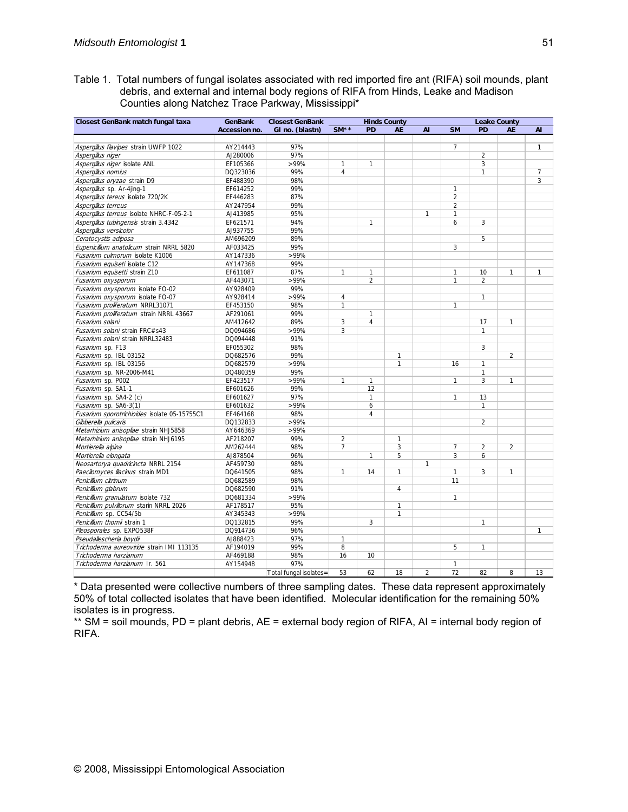Table 1. Total numbers of fungal isolates associated with red imported fire ant (RIFA) soil mounds, plant debris, and external and internal body regions of RIFA from Hinds, Leake and Madison Counties along Natchez Trace Parkway, Mississippi\*

| Closest GenBank match fungal taxa            | <b>GenBank</b> | <b>Closest GenBank</b> | <b>Hinds County</b> |                |                |                | <b>Leake County</b> |                |                |                |
|----------------------------------------------|----------------|------------------------|---------------------|----------------|----------------|----------------|---------------------|----------------|----------------|----------------|
|                                              | Accession no.  | GI no. (blastn)        | $SM**$              | PD             | <b>AE</b>      | AI             | <b>SM</b>           | PD             | <b>AE</b>      | <b>AI</b>      |
|                                              |                |                        |                     |                |                |                |                     |                |                |                |
| Aspergillus flavipes strain UWFP 1022        | AY214443       | 97%                    |                     |                |                |                | $\overline{7}$      |                |                | $\mathbf{1}$   |
| Aspergillus niger                            | AJ280006       | 97%                    |                     |                |                |                |                     | $\overline{2}$ |                |                |
| Aspergillus niger isolate ANL                | EF105366       | $>99\%$                | $\mathbf{1}$        | $\mathbf{1}$   |                |                |                     | 3              |                |                |
| Aspergillus nomius                           | DQ323036       | 99%                    | $\overline{4}$      |                |                |                |                     | $\mathbf{1}$   |                | $\overline{7}$ |
| Aspergillus oryzae strain D9                 | EF488390       | 98%                    |                     |                |                |                |                     |                |                | 3              |
| Aspergillus sp. Ar-4jing-1                   | EF614252       | 99%                    |                     |                |                |                | 1                   |                |                |                |
| Aspergillus tereus isolate 720/2K            | EF446283       | 87%                    |                     |                |                |                | $\overline{2}$      |                |                |                |
| Aspergillus terreus                          | AY 247954      | 99%                    |                     |                |                |                | $\overline{2}$      |                |                |                |
| Aspergillus terreus isolate NHRC-F-05-2-1    | AJ413985       | 95%                    |                     |                |                | $\mathbf{1}$   | 1                   |                |                |                |
| Aspergillus tubingensis strain 3.4342        | EF621571       | 94%                    |                     | $\mathbf{1}$   |                |                | 6                   | 3              |                |                |
| Aspergillus versicolor                       | AJ937755       | 99%                    |                     |                |                |                |                     |                |                |                |
| Ceratocystis adiposa                         | AM696209       | 89%                    |                     |                |                |                |                     | 5              |                |                |
| Eupenicillium anatolicum strain NRRL 5820    | AF033425       | 99%                    |                     |                |                |                | $\overline{3}$      |                |                |                |
| Fusarium culmorum isolate K1006              | AY147336       | >99%                   |                     |                |                |                |                     |                |                |                |
| Fusarium equiseti isolate C12                | AY147368       | 99%                    |                     |                |                |                |                     |                |                |                |
| Fusarium equisetti strain Z10                | EF611087       | 87%                    | 1                   | $\mathbf{1}$   |                |                | 1                   | 10             | 1              | 1              |
| Fusarium oxysporum                           | AF443071       | >99%                   |                     | $\overline{2}$ |                |                | 1                   | $\overline{2}$ |                |                |
| Fusarium oxysporum isolate FO-02             | AY928409       | 99%                    |                     |                |                |                |                     |                |                |                |
| Fusarium oxysporum isolate FO-07             | AY928414       | >99%                   | $\overline{4}$      |                |                |                |                     | $\mathbf{1}$   |                |                |
| Fusarium proliferatum NRRL31071              | EF453150       | 98%                    | $\mathbf{1}$        |                |                |                | $\mathbf{1}$        |                |                |                |
| Fusarium proliferatum strain NRRL 43667      | AF291061       | 99%                    |                     | $\mathbf{1}$   |                |                |                     |                |                |                |
| Fusarium solani                              | AM412642       | 89%                    | 3                   | $\overline{4}$ |                |                |                     | 17             | $\mathbf{1}$   |                |
| Fusarium solani strain FRC#s43               | DQ094686       | >99%                   | 3                   |                |                |                |                     | $\mathbf{1}$   |                |                |
| Fusarium solani strain NRRL32483             | DQ094448       | 91%                    |                     |                |                |                |                     |                |                |                |
| Fusarium sp. F13                             | EF055302       | 98%                    |                     |                |                |                |                     | 3              |                |                |
| Fusarium sp. IBL 03152                       | DQ682576       | 99%                    |                     |                | $\mathbf{1}$   |                |                     |                | $\overline{2}$ |                |
| Fusarium sp. IBL 03156                       | DQ682579       | $>99\%$                |                     |                | $\mathbf{1}$   |                | 16                  | $\mathbf{1}$   |                |                |
| Fusarium sp. NR-2006-M41                     | DQ480359       | 99%                    |                     |                |                |                |                     | $\mathbf{1}$   |                |                |
| Fusarium sp. P002                            | EF423517       | >99%                   | 1                   | $\mathbf{1}$   |                |                | $\mathbf{1}$        | 3              | $\mathbf{1}$   |                |
| Fusarium sp. SA1-1                           | EF601626       | 99%                    |                     | 12             |                |                |                     |                |                |                |
| Fusarium sp. SA4-2 (c)                       | EF601627       | 97%                    |                     | $\mathbf{1}$   |                |                | $\mathbf{1}$        | 13             |                |                |
| Fusarium sp. SA6-3(1)                        | EF601632       | >99%                   |                     | 6              |                |                |                     | $\mathbf{1}$   |                |                |
| Fusarium sporotrichioides isolate 05-15755C1 | EF464168       | 98%                    |                     | $\overline{4}$ |                |                |                     |                |                |                |
| Gibberella pulicaris                         | DQ132833       | >99%                   |                     |                |                |                |                     | $\overline{2}$ |                |                |
| Metarhizium anisopliae strain NHJ5858        | AY646369       | >99%                   |                     |                |                |                |                     |                |                |                |
| Metarhizium anisopliae strain NHJ6195        | AF218207       | 99%                    | $\overline{2}$      |                | $\mathbf{1}$   |                |                     |                |                |                |
| Mortierella alpina                           | AM262444       | 98%                    | $\overline{7}$      |                | 3              |                | $\overline{7}$      | $\overline{2}$ | $\overline{2}$ |                |
| Mortierella elongata                         | AJ878504       | 96%                    |                     | $\mathbf{1}$   | 5              |                | 3                   | 6              |                |                |
| Neosartorya quadricincta NRRL 2154           | AF459730       | 98%                    |                     |                |                | $\mathbf{1}$   |                     |                |                |                |
| Paecilomyces lilacinus strain MD1            | DQ641505       | 98%                    | $\mathbf{1}$        | 14             | $\mathbf{1}$   |                | $\mathbf{1}$        | 3              | $\mathbf{1}$   |                |
| Penicillium citrinum                         | DQ682589       | 98%                    |                     |                |                |                | 11                  |                |                |                |
| Penicillium glabrum                          | DQ682590       | 91%                    |                     |                | $\overline{4}$ |                |                     |                |                |                |
| Penicillium granulatum isolate 732           | DQ681334       | >99%                   |                     |                |                |                | $\mathbf{1}$        |                |                |                |
| Penicillium pulvillorum starin NRRL 2026     | AF178517       | 95%                    |                     |                | $\mathbf{1}$   |                |                     |                |                |                |
| Penicillium sp. CC54/5b                      | AY345343       | >99%                   |                     |                | $\mathbf{1}$   |                |                     |                |                |                |
| Penicillium thomii strain 1                  | DQ132815       | 99%                    |                     | 3              |                |                |                     | $\mathbf{1}$   |                |                |
| Pleosporales sp. EXPO538F                    | DQ914736       | 96%                    |                     |                |                |                |                     |                |                | 1              |
| Pseudallescheria boydii                      | AJ888423       | 97%                    | $\mathbf{1}$        |                |                |                |                     |                |                |                |
| Trichoderma aureoviride strain IMI 113135    | AF194019       | 99%                    | 8                   |                |                |                | 5                   | $\mathbf{1}$   |                |                |
| Trichoderma harzianum                        | AF469188       | 98%                    | 16                  | 10             |                |                |                     |                |                |                |
| Trichoderma harzianum Ir. 561                | AY154948       | 97%                    |                     |                |                |                | $\mathbf{1}$        |                |                |                |
|                                              |                | Total fungal isolates= | 53                  | 62             | 18             | $\overline{2}$ | 72                  | 82             | 8              | 13             |

\* Data presented were collective numbers of three sampling dates. These data represent approximately 50% of total collected isolates that have been identified. Molecular identification for the remaining 50% isolates is in progress.

\*\* SM = soil mounds, PD = plant debris, AE = external body region of RIFA, AI = internal body region of RIFA.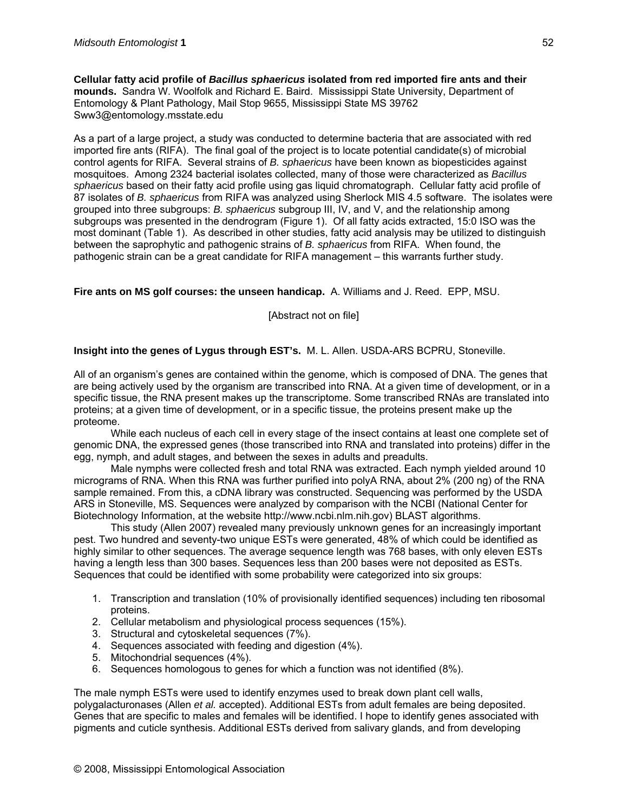**Cellular fatty acid profile of** *Bacillus sphaericus* **isolated from red imported fire ants and their mounds.** Sandra W. Woolfolk and Richard E. Baird. Mississippi State University, Department of Entomology & Plant Pathology, Mail Stop 9655, Mississippi State MS 39762 Sww3@entomology.msstate.edu

As a part of a large project, a study was conducted to determine bacteria that are associated with red imported fire ants (RIFA). The final goal of the project is to locate potential candidate(s) of microbial control agents for RIFA. Several strains of *B. sphaericus* have been known as biopesticides against mosquitoes. Among 2324 bacterial isolates collected, many of those were characterized as *Bacillus sphaericus* based on their fatty acid profile using gas liquid chromatograph. Cellular fatty acid profile of 87 isolates of *B. sphaericus* from RIFA was analyzed using Sherlock MIS 4.5 software. The isolates were grouped into three subgroups: *B. sphaericus* subgroup III, IV, and V, and the relationship among subgroups was presented in the dendrogram (Figure 1). Of all fatty acids extracted, 15:0 ISO was the most dominant (Table 1). As described in other studies, fatty acid analysis may be utilized to distinguish between the saprophytic and pathogenic strains of *B. sphaericus* from RIFA. When found, the pathogenic strain can be a great candidate for RIFA management – this warrants further study.

#### **Fire ants on MS golf courses: the unseen handicap.** A. Williams and J. Reed. EPP, MSU.

[Abstract not on file]

#### **Insight into the genes of Lygus through EST's.** M. L. Allen. USDA-ARS BCPRU, Stoneville.

All of an organism's genes are contained within the genome, which is composed of DNA. The genes that are being actively used by the organism are transcribed into RNA. At a given time of development, or in a specific tissue, the RNA present makes up the transcriptome. Some transcribed RNAs are translated into proteins; at a given time of development, or in a specific tissue, the proteins present make up the proteome.

While each nucleus of each cell in every stage of the insect contains at least one complete set of genomic DNA, the expressed genes (those transcribed into RNA and translated into proteins) differ in the egg, nymph, and adult stages, and between the sexes in adults and preadults.

Male nymphs were collected fresh and total RNA was extracted. Each nymph yielded around 10 micrograms of RNA. When this RNA was further purified into polyA RNA, about 2% (200 ng) of the RNA sample remained. From this, a cDNA library was constructed. Sequencing was performed by the USDA ARS in Stoneville, MS. Sequences were analyzed by comparison with the NCBI (National Center for Biotechnology Information, at the website http://www.ncbi.nlm.nih.gov) BLAST algorithms.

This study (Allen 2007) revealed many previously unknown genes for an increasingly important pest. Two hundred and seventy-two unique ESTs were generated, 48% of which could be identified as highly similar to other sequences. The average sequence length was 768 bases, with only eleven ESTs having a length less than 300 bases. Sequences less than 200 bases were not deposited as ESTs. Sequences that could be identified with some probability were categorized into six groups:

- 1. Transcription and translation (10% of provisionally identified sequences) including ten ribosomal proteins.
- 2. Cellular metabolism and physiological process sequences (15%).
- 3. Structural and cytoskeletal sequences (7%).
- 4. Sequences associated with feeding and digestion (4%).
- 5. Mitochondrial sequences (4%).
- 6. Sequences homologous to genes for which a function was not identified (8%).

The male nymph ESTs were used to identify enzymes used to break down plant cell walls, polygalacturonases (Allen *et al.* accepted). Additional ESTs from adult females are being deposited. Genes that are specific to males and females will be identified. I hope to identify genes associated with pigments and cuticle synthesis. Additional ESTs derived from salivary glands, and from developing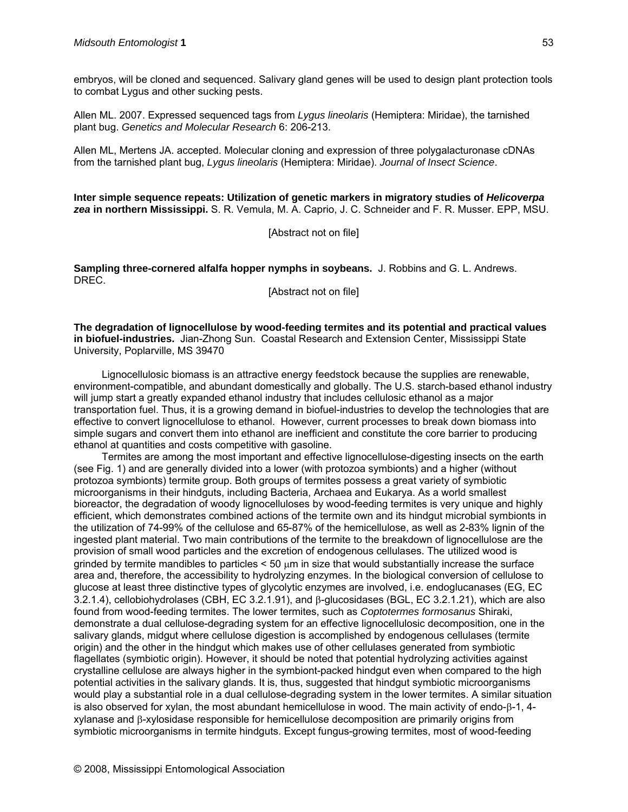embryos, will be cloned and sequenced. Salivary gland genes will be used to design plant protection tools to combat Lygus and other sucking pests.

Allen ML. 2007. Expressed sequenced tags from *Lygus lineolaris* (Hemiptera: Miridae), the tarnished plant bug. *Genetics and Molecular Research* 6: 206-213.

Allen ML, Mertens JA. accepted. Molecular cloning and expression of three polygalacturonase cDNAs from the tarnished plant bug, *Lygus lineolaris* (Hemiptera: Miridae). *Journal of Insect Science*.

**Inter simple sequence repeats: Utilization of genetic markers in migratory studies of** *Helicoverpa zea* **in northern Mississippi.** S. R. Vemula, M. A. Caprio, J. C. Schneider and F. R. Musser. EPP, MSU.

[Abstract not on file]

**Sampling three-cornered alfalfa hopper nymphs in soybeans.** J. Robbins and G. L. Andrews. DREC.

[Abstract not on file]

**The degradation of lignocellulose by wood-feeding termites and its potential and practical values in biofuel-industries.** Jian-Zhong Sun. Coastal Research and Extension Center, Mississippi State University, Poplarville, MS 39470

Lignocellulosic biomass is an attractive energy feedstock because the supplies are renewable, environment-compatible, and abundant domestically and globally. The U.S. starch-based ethanol industry will jump start a greatly expanded ethanol industry that includes cellulosic ethanol as a major transportation fuel. Thus, it is a growing demand in biofuel-industries to develop the technologies that are effective to convert lignocellulose to ethanol. However, current processes to break down biomass into simple sugars and convert them into ethanol are inefficient and constitute the core barrier to producing ethanol at quantities and costs competitive with gasoline.

Termites are among the most important and effective lignocellulose-digesting insects on the earth (see Fig. 1) and are generally divided into a lower (with protozoa symbionts) and a higher (without protozoa symbionts) termite group. Both groups of termites possess a great variety of symbiotic microorganisms in their hindguts, including Bacteria, Archaea and Eukarya. As a world smallest bioreactor, the degradation of woody lignocelluloses by wood-feeding termites is very unique and highly efficient, which demonstrates combined actions of the termite own and its hindgut microbial symbionts in the utilization of 74-99% of the cellulose and 65-87% of the hemicellulose, as well as 2-83% lignin of the ingested plant material. Two main contributions of the termite to the breakdown of lignocellulose are the provision of small wood particles and the excretion of endogenous cellulases. The utilized wood is grinded by termite mandibles to particles  $< 50 \mu m$  in size that would substantially increase the surface area and, therefore, the accessibility to hydrolyzing enzymes. In the biological conversion of cellulose to glucose at least three distinctive types of glycolytic enzymes are involved, i.e. endoglucanases (EG, EC 3.2.1.4), cellobiohydrolases (CBH, EC 3.2.1.91), and β-glucosidases (BGL, EC 3.2.1.21), which are also found from wood-feeding termites. The lower termites, such as *Coptotermes formosanus* Shiraki, demonstrate a dual cellulose-degrading system for an effective lignocellulosic decomposition, one in the salivary glands, midgut where cellulose digestion is accomplished by endogenous cellulases (termite origin) and the other in the hindgut which makes use of other cellulases generated from symbiotic flagellates (symbiotic origin). However, it should be noted that potential hydrolyzing activities against crystalline cellulose are always higher in the symbiont-packed hindgut even when compared to the high potential activities in the salivary glands. It is, thus, suggested that hindgut symbiotic microorganisms would play a substantial role in a dual cellulose-degrading system in the lower termites. A similar situation is also observed for xylan, the most abundant hemicellulose in wood. The main activity of endo-β-1, 4 xylanase and β-xylosidase responsible for hemicellulose decomposition are primarily origins from symbiotic microorganisms in termite hindguts. Except fungus-growing termites, most of wood-feeding